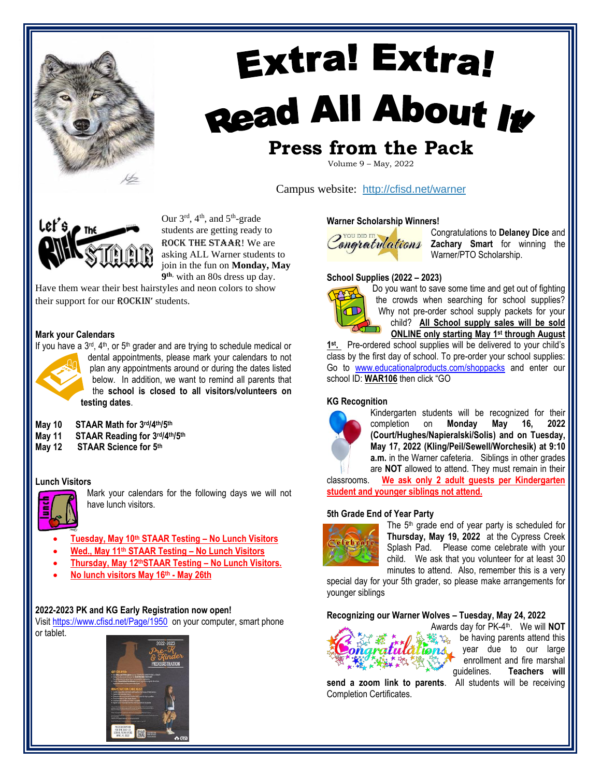

# **Extra! Extra!** Read All About It **Press from the Pack**

Volume 9 – May, 2022

Campus website: <http://cfisd.net/warner>



Our  $3<sup>rd</sup>$ , 4<sup>th</sup>, and  $5<sup>th</sup>$ -grade students are getting ready to ROCK the STAAR! We are asking ALL Warner students to join in the fun on **Monday, May 9 th**, with an 80s dress up day.

Have them wear their best hairstyles and neon colors to show their support for our ROCKIN' students.

#### **Mark your Calendars**



If you have a  $3^{rd}$ ,  $4^{th}$ , or  $5^{th}$  grader and are trying to schedule medical or dental appointments, please mark your calendars to not plan any appointments around or during the dates listed below. In addition, we want to remind all parents that the **school is closed to all visitors/volunteers on testing dates**.

- **May 10 STAAR Math for 3 rd/4th/5th**
- **May 11 STAAR Reading for 3 rd/4th/5 th**
- **May 12 STAAR Science for 5th**

#### **Lunch Visitors**



Mark your calendars for the following days we will not have lunch visitors.

- **Tuesday, May 10th STAAR Testing – No Lunch Visitors**
- **Wed., May 11th STAAR Testing – No Lunch Visitors**
- **Thursday, May 12thSTAAR Testing – No Lunch Visitors.**
- **No lunch visitors May 16th - May 26th**

#### **2022-2023 PK and KG Early Registration now open!**

Visit <https://www.cfisd.net/Page/1950> on your computer, smart phone or tablet.



#### **Warner Scholarship Winners!**



Congratulations to **Delaney Dice** and **Zachary Smart** for winning the Warner/PTO Scholarship.

#### **School Supplies (2022 – 2023)**



Do you want to save some time and get out of fighting the crowds when searching for school supplies? Why not pre-order school supply packets for your child? **All School supply sales will be sold ONLINE only starting May 1 st through August** 

1<sup>st</sup>. Pre-ordered school supplies will be delivered to your child's class by the first day of school. To pre-order your school supplies: Go to [www.educationalproducts.com/shoppacks](http://www.educationalproducts.com/shoppacks) and enter our school ID: **WAR106** then click "GO

#### **KG Recognition**



Kindergarten students will be recognized for their completion on **Monday May 16, 2022 (Court/Hughes/Napieralski/Solis) and on Tuesday, May 17, 2022 (Kling/Peil/Sewell/Worchesik) at 9:10 a.m.** in the Warner cafeteria. Siblings in other grades are **NOT** allowed to attend. They must remain in their

classrooms. **We ask only 2 adult guests per Kindergarten student and younger siblings not attend.**

#### **5th Grade End of Year Party**



The 5<sup>th</sup> grade end of year party is scheduled for **Thursday, May 19, 2022** at the Cypress Creek Splash Pad. Please come celebrate with your child. We ask that you volunteer for at least 30 minutes to attend. Also, remember this is a very

special day for your 5th grader, so please make arrangements for younger siblings

#### **Recognizing our Warner Wolves – Tuesday, May 24, 2022**



Awards day for PK-4 th. We will **NOT**  $\frac{1}{2}$  be having parents attend this ions, year due to our large enrollment and fire marshal

**send a zoom link to parents**. All students will be receiving Completion Certificates.

guidelines. **Teachers will**